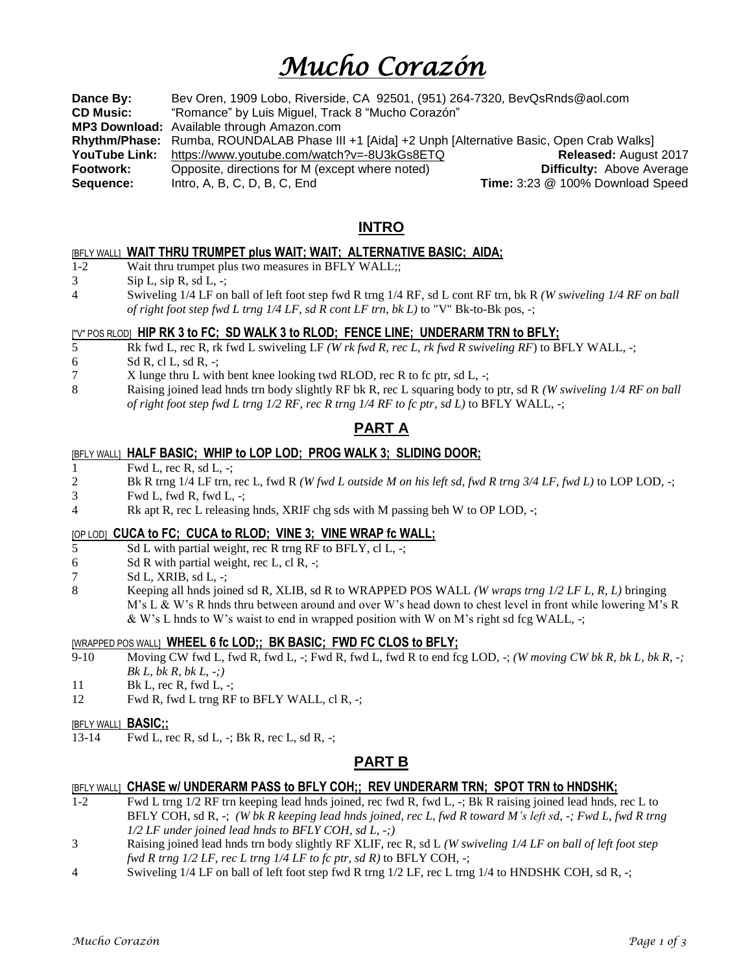# *Mucho Corazón*

**Dance By:** Bev Oren, 1909 Lobo, Riverside, CA 92501, (951) 264-7320, BevQsRnds@aol.com **CD Music:** "Romance" by Luis Miguel, Track 8 "Mucho Corazón" **MP3 Download:** Available through Amazon.com **Rhythm/Phase:** Rumba, ROUNDALAB Phase III +1 [Aida] +2 Unph [Alternative Basic, Open Crab Walks] **YouTube Link:** https://www.youtube.com/watch?v=-8U3kGs8ETQ **Released:** August 2017 **Footwork:** Opposite, directions for M (except where noted)**Difficulty:** Above Average **Sequence:** Intro, A, B, C, D, B, C, End **Time:** 3:23 @ 100% Download Speed

## **INTRO**

#### [BFLY WALL] **WAIT THRU TRUMPET plus WAIT; WAIT; ALTERNATIVE BASIC; AIDA;**

- 1-2 Wait thru trumpet plus two measures in BFLY WALL;;
- $3$  Sip L, sip R, sd L, -;
- 4 Swiveling 1/4 LF on ball of left foot step fwd R trng 1/4 RF, sd L cont RF trn, bk R *(W swiveling 1/4 RF on ball of right foot step fwd L trng 1/4 LF, sd R cont LF trn, bk L)* to "V" Bk-to-Bk pos, -;

#### ["V" POS RLOD] **HIP RK 3 to FC; SD WALK 3 to RLOD; FENCE LINE; UNDERARM TRN to BFLY;**

- 5 Rk fwd L, rec R, rk fwd L swiveling LF *(W rk fwd R, rec L, rk fwd R swiveling RF*) to BFLY WALL, -;
- 6 Sd R, cl L, sd R,  $-$ ;
- 7 X lunge thru L with bent knee looking twd RLOD, rec R to fc ptr, sd L, -;
- 8 Raising joined lead hnds trn body slightly RF bk R, rec L squaring body to ptr, sd R *(W swiveling 1/4 RF on ball of right foot step fwd L trng 1/2 RF, rec R trng 1/4 RF to fc ptr, sd L)* to BFLY WALL, -;

## **PART A**

#### [BFLY WALL] **HALF BASIC; WHIP to LOP LOD; PROG WALK 3; SLIDING DOOR;**

1 Fwd L, rec R, sd L, -;

2 Bk R trng 1/4 LF trn, rec L, fwd R *(W fwd L outside M on his left sd, fwd R trng 3/4 LF, fwd L)* to LOP LOD, -;

- $3$  Fwd L, fwd R, fwd L, -;
- 4 Rk apt R, rec L releasing hnds, XRIF chg sds with M passing beh W to OP LOD, -;

#### [OP LOD] **CUCA to FC; CUCA to RLOD; VINE 3; VINE WRAP fc WALL;**

- 5 Sd L with partial weight, rec R trng RF to BFLY, cl L, -;
- 6 Sd R with partial weight, rec L, cl R,  $\div$ ;
- $7 \qquad Sd \, L, XRIB, sd \, L, -;$
- 8 Keeping all hnds joined sd R, XLIB, sd R to WRAPPED POS WALL *(W wraps trng 1/2 LF L, R, L)* bringing M's L & W's R hnds thru between around and over W's head down to chest level in front while lowering M's R & W's L hnds to W's waist to end in wrapped position with W on M's right sd fcg WALL, -;

#### [WRAPPED POS WALL] **WHEEL 6 fc LOD;; BK BASIC; FWD FC CLOS to BFLY;**

- 9-10 Moving CW fwd L, fwd R, fwd L, -; Fwd R, fwd L, fwd R to end fcg LOD,  $\div$ ; *(W moving CW bk R, bk L, bk R, -; Bk L, bk R, bk L, -;)*
- 11 Bk L, rec R, fwd L, -;
- 12 Fwd R, fwd L trng RF to BFLY WALL, cl R, -;

#### [BFLY WALL] **BASIC;;**

13-14 Fwd L, rec R, sd L,  $-$ ; Bk R, rec L, sd R,  $-$ ;

#### **PART B**

#### [BFLY WALL] **CHASE w/ UNDERARM PASS to BFLY COH;; REV UNDERARM TRN; SPOT TRN to HNDSHK;**

- 1-2 Fwd L trng 1/2 RF trn keeping lead hnds joined, rec fwd R, fwd L, -; Bk R raising joined lead hnds, rec L to BFLY COH, sd R, -; *(W bk R keeping lead hnds joined, rec L, fwd R toward M's left sd, -; Fwd L, fwd R trng 1/2 LF under joined lead hnds to BFLY COH, sd L, -;)*
- 3 Raising joined lead hnds trn body slightly RF XLIF, rec R, sd L *(W swiveling 1/4 LF on ball of left foot step fwd R trng 1/2 LF, rec L trng 1/4 LF to fc ptr, sd R)* to BFLY COH, -;
- 4 Swiveling 1/4 LF on ball of left foot step fwd R trng 1/2 LF, rec L trng 1/4 to HNDSHK COH, sd R, -;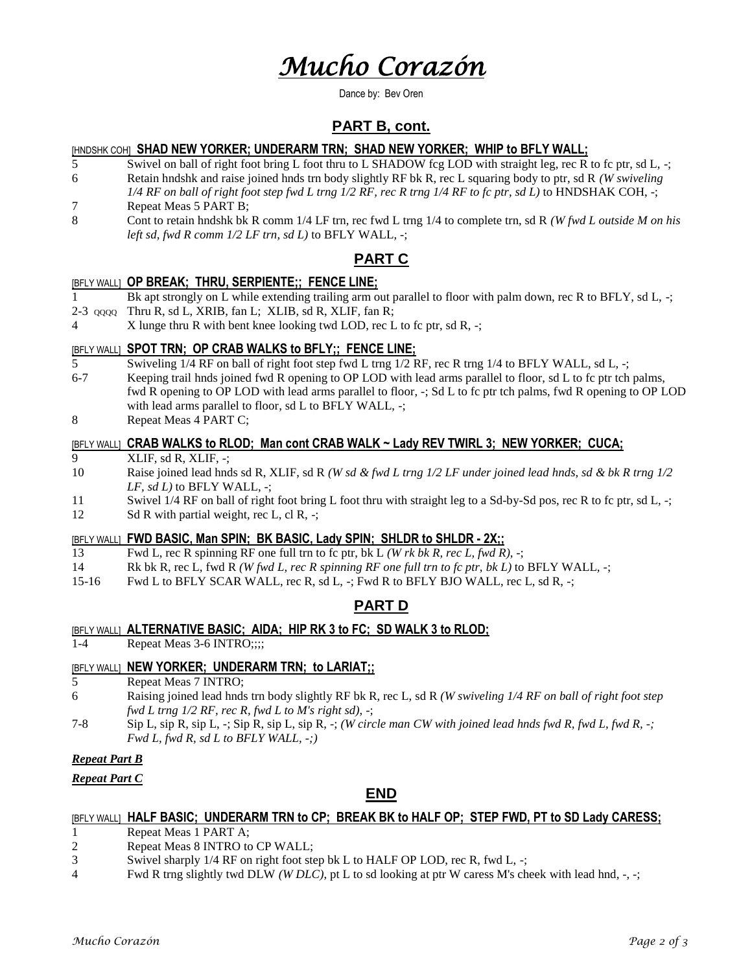# *Mucho Corazón*

Dance by: Bev Oren

## **PART B, cont.**

#### [HNDSHK COH] **SHAD NEW YORKER; UNDERARM TRN; SHAD NEW YORKER; WHIP to BFLY WALL;**

- 5 Swivel on ball of right foot bring L foot thru to L SHADOW fcg LOD with straight leg, rec R to fc ptr, sd L, -; 6 Retain hndshk and raise joined hnds trn body slightly RF bk R, rec L squaring body to ptr, sd R *(W swiveling 1/4 RF on ball of right foot step fwd L trng 1/2 RF, rec R trng 1/4 RF to fc ptr, sd L)* to HNDSHAK COH, -;
- 7 Repeat Meas 5 PART B;
- 8 Cont to retain hndshk bk R comm 1/4 LF trn, rec fwd L trng 1/4 to complete trn, sd R *(W fwd L outside M on his left sd, fwd R comm 1/2 LF trn, sd L)* to BFLY WALL, -;

## **PART C**

#### [BFLY WALL] **OP BREAK; THRU, SERPIENTE;; FENCE LINE;**

- 1 Bk apt strongly on L while extending trailing arm out parallel to floor with palm down, rec R to BFLY, sd L, -;
- 2-3 QQQQ Thru R, sd L, XRIB, fan L; XLIB, sd R, XLIF, fan R;
- 4 X lunge thru R with bent knee looking twd LOD, rec L to fc ptr, sd R, -;

#### [BFLY WALL] **SPOT TRN; OP CRAB WALKS to BFLY;; FENCE LINE;**

- 5 Swiveling 1/4 RF on ball of right foot step fwd L trng 1/2 RF, rec R trng 1/4 to BFLY WALL, sd L, -;
- 6-7 Keeping trail hnds joined fwd R opening to OP LOD with lead arms parallel to floor, sd L to fc ptr tch palms, fwd R opening to OP LOD with lead arms parallel to floor, -; Sd L to fc ptr tch palms, fwd R opening to OP LOD with lead arms parallel to floor, sd L to BFLY WALL, -;
- 8 Repeat Meas 4 PART C;

#### [BFLY WALL] **CRAB WALKS to RLOD; Man cont CRAB WALK ~ Lady REV TWIRL 3; NEW YORKER; CUCA;**

- 9 XLIF, sd R, XLIF, -;
- 10 Raise joined lead hnds sd R, XLIF, sd R *(W sd & fwd L trng 1/2 LF under joined lead hnds, sd & bk R trng 1/2 LF, sd L)* to BFLY WALL, -;
- 11 Swivel 1/4 RF on ball of right foot bring L foot thru with straight leg to a Sd-by-Sd pos, rec R to fc ptr, sd L, -;
- 12 Sd R with partial weight, rec L, cl R, -;

#### [BFLY WALL] **FWD BASIC, Man SPIN; BK BASIC, Lady SPIN; SHLDR to SHLDR - 2X;;**

- 13 Fwd L, rec R spinning RF one full trn to fc ptr, bk L *(W rk bk R, rec L, fwd R)*, -;
- 14 Rk bk R, rec L, fwd R *(W fwd L, rec R spinning RF one full trn to fc ptr, bk L)* to BFLY WALL, -;
- 15-16 Fwd L to BFLY SCAR WALL, rec R, sd L, -; Fwd R to BFLY BJO WALL, rec L, sd R, -;

#### **PART D**

#### [BFLY WALL] **ALTERNATIVE BASIC; AIDA; HIP RK 3 to FC; SD WALK 3 to RLOD;**

1-4 Repeat Meas 3-6 INTRO;;;;

#### [BFLY WALL] **NEW YORKER; UNDERARM TRN; to LARIAT;;**

- 5 Repeat Meas 7 INTRO;
- 6 Raising joined lead hnds trn body slightly RF bk R, rec L, sd R *(W swiveling 1/4 RF on ball of right foot step fwd L trng 1/2 RF, rec R, fwd L to M's right sd)*, -;
- 7-8 Sip L, sip R, sip L, -; Sip R, sip L, sip R, -; *(W circle man CW with joined lead hnds fwd R, fwd L, fwd R, -; Fwd L, fwd R, sd L to BFLY WALL, -;)*

#### *Repeat Part B*

*Repeat Part C*

#### **END**

#### [BFLY WALL] **HALF BASIC; UNDERARM TRN to CP; BREAK BK to HALF OP; STEP FWD, PT to SD Lady CARESS;**

- 1 Repeat Meas 1 PART A;
- 2 Repeat Meas 8 INTRO to CP WALL;
- 3 Swivel sharply 1/4 RF on right foot step bk L to HALF OP LOD, rec R, fwd L, -;
- 4 Fwd R trng slightly twd DLW *(W DLC)*, pt L to sd looking at ptr W caress M's cheek with lead hnd, -, -;